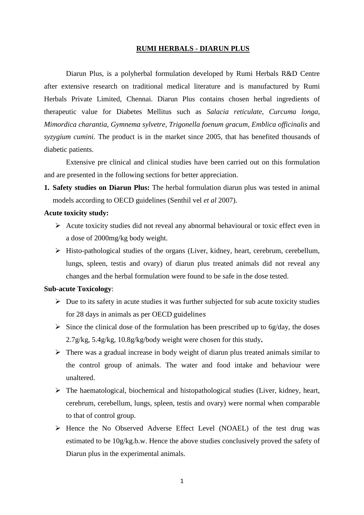#### **RUMI HERBALS - DIARUN PLUS**

Diarun Plus, is a polyherbal formulation developed by Rumi Herbals R&D Centre after extensive research on traditional medical literature and is manufactured by Rumi Herbals Private Limited, Chennai. Diarun Plus contains chosen herbal ingredients of therapeutic value for Diabetes Mellitus such as *Salacia reticulate*, *Curcuma longa*, *Mimordica charantia*, *Gymnema sylvetre*, *Trigonella foenum gracum*, *Emblica officinalis* and *syzygium cumini.* The product is in the market since 2005, that has benefited thousands of diabetic patients.

Extensive pre clinical and clinical studies have been carried out on this formulation and are presented in the following sections for better appreciation.

**1. Safety studies on Diarun Plus:** The herbal formulation diarun plus was tested in animal models according to OECD guidelines (Senthil vel *et al* 2007).

### **Acute toxicity study:**

- $\triangleright$  Acute toxicity studies did not reveal any abnormal behavioural or toxic effect even in a dose of 2000mg/kg body weight.
- Histo-pathological studies of the organs (Liver, kidney, heart, cerebrum, cerebellum, lungs, spleen, testis and ovary) of diarun plus treated animals did not reveal any changes and the herbal formulation were found to be safe in the dose tested.

### **Sub-acute Toxicology**:

- $\triangleright$  Due to its safety in acute studies it was further subjected for sub acute toxicity studies for 28 days in animals as per OECD guidelines
- $\triangleright$  Since the clinical dose of the formulation has been prescribed up to 6g/day, the doses 2.7g/kg, 5.4g/kg, 10.8g/kg/body weight were chosen for this study**.**
- $\triangleright$  There was a gradual increase in body weight of diarun plus treated animals similar to the control group of animals. The water and food intake and behaviour were unaltered.
- $\triangleright$  The haematological, biochemical and histopathological studies (Liver, kidney, heart, cerebrum, cerebellum, lungs, spleen, testis and ovary) were normal when comparable to that of control group.
- Hence the No Observed Adverse Effect Level (NOAEL) of the test drug was estimated to be 10g/kg.b.w. Hence the above studies conclusively proved the safety of Diarun plus in the experimental animals.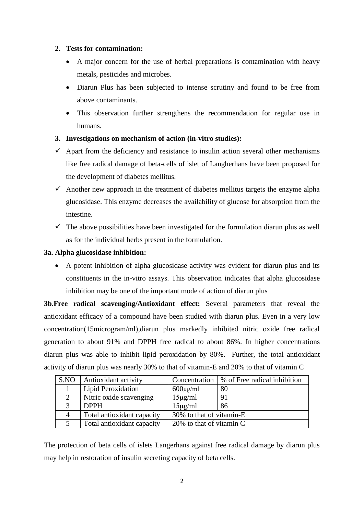## **2. Tests for contamination:**

- A major concern for the use of herbal preparations is contamination with heavy metals, pesticides and microbes.
- Diarun Plus has been subjected to intense scrutiny and found to be free from above contaminants.
- This observation further strengthens the recommendation for regular use in humans.

# **3. Investigations on mechanism of action (in-vitro studies):**

- $\checkmark$  Apart from the deficiency and resistance to insulin action several other mechanisms like free radical damage of beta-cells of islet of Langherhans have been proposed for the development of diabetes mellitus.
- $\checkmark$  Another new approach in the treatment of diabetes mellitus targets the enzyme alpha glucosidase. This enzyme decreases the availability of glucose for absorption from the intestine.
- $\checkmark$  The above possibilities have been investigated for the formulation diarun plus as well as for the individual herbs present in the formulation.

## **3a. Alpha glucosidase inhibition:**

 A potent inhibition of alpha glucosidase activity was evident for diarun plus and its constituents in the in-vitro assays. This observation indicates that alpha glucosidase inhibition may be one of the important mode of action of diarun plus

**3b.Free radical scavenging/Antioxidant effect:** Several parameters that reveal the antioxidant efficacy of a compound have been studied with diarun plus. Even in a very low concentration(15microgram/ml),diarun plus markedly inhibited nitric oxide free radical generation to about 91% and DPPH free radical to about 86%. In higher concentrations diarun plus was able to inhibit lipid peroxidation by 80%. Further, the total antioxidant activity of diarun plus was nearly 30% to that of vitamin-E and 20% to that of vitamin C

| S.NO           | Antioxidant activity       |                          | Concentration   % of Free radical inhibition |  |  |
|----------------|----------------------------|--------------------------|----------------------------------------------|--|--|
|                | Lipid Peroxidation         | $600\mu\text{g/ml}$      | 80                                           |  |  |
|                | Nitric oxide scavenging    | $15\mu g/ml$             | 91                                           |  |  |
|                | <b>DPPH</b>                | $15\mu g/ml$             | 86                                           |  |  |
| $\overline{4}$ | Total antioxidant capacity | 30% to that of vitamin-E |                                              |  |  |
|                | Total antioxidant capacity | 20% to that of vitamin C |                                              |  |  |

The protection of beta cells of islets Langerhans against free radical damage by diarun plus may help in restoration of insulin secreting capacity of beta cells.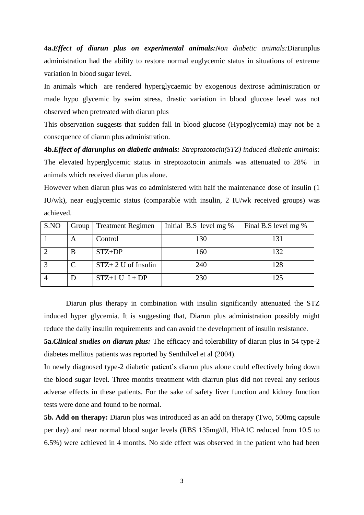**4a.***Effect of diarun plus on experimental animals:Non diabetic animals:*Diarunplus administration had the ability to restore normal euglycemic status in situations of extreme variation in blood sugar level.

In animals which are rendered hyperglycaemic by exogenous dextrose administration or made hypo glycemic by swim stress, drastic variation in blood glucose level was not observed when pretreated with diarun plus

This observation suggests that sudden fall in blood glucose (Hypoglycemia) may not be a consequence of diarun plus administration.

4**b.***Effect of diarunplus on diabetic animals: Streptozotocin(STZ) induced diabetic animals:*  The elevated hyperglycemic status in streptozotocin animals was attenuated to 28% in animals which received diarun plus alone.

However when diarun plus was co administered with half the maintenance dose of insulin (1 IU/wk), near euglycemic status (comparable with insulin, 2 IU/wk received groups) was achieved.

| S.NO | $Group \mid$ | <b>Treatment Regimen</b> | Initial B.S level mg $%$ | Final B.S level mg % |
|------|--------------|--------------------------|--------------------------|----------------------|
|      | A            | Control                  | 130                      | 131                  |
|      | B            | $STZ+DP$                 | 160                      | 132                  |
|      |              | $STZ+2$ U of Insulin     | 240                      | 128                  |
|      |              | $STZ+1 U I+DP$           | 230                      | 125                  |

Diarun plus therapy in combination with insulin significantly attenuated the STZ induced hyper glycemia. It is suggesting that, Diarun plus administration possibly might reduce the daily insulin requirements and can avoid the development of insulin resistance.

**5a.***Clinical studies on diarun plus:* The efficacy and tolerability of diarun plus in 54 type-2 diabetes mellitus patients was reported by Senthilvel et al (2004).

In newly diagnosed type-2 diabetic patient's diarun plus alone could effectively bring down the blood sugar level. Three months treatment with diarrun plus did not reveal any serious adverse effects in these patients. For the sake of safety liver function and kidney function tests were done and found to be normal.

**5b. Add on therapy:** Diarun plus was introduced as an add on therapy (Two, 500mg capsule per day) and near normal blood sugar levels (RBS 135mg/dl, HbA1C reduced from 10.5 to 6.5%) were achieved in 4 months. No side effect was observed in the patient who had been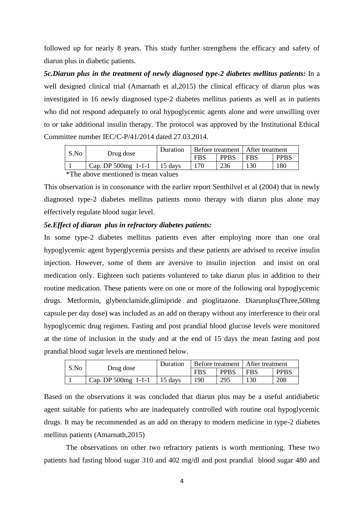followed up for nearly 8 years. This study further strengthens the efficacy and safety of diarun plus in diabetic patients.

*5c.Diarun plus in the treatment of newly diagnosed type-2 diabetes mellitus patients:* In a well designed clinical trial (Amarnath et al,2015) the clinical efficacy of diarun plus was investigated in 16 newly diagnosed type-2 diabetes mellitus patients as well as in patients who did not respond adequately to oral hypoglycemic agents alone and were unwilling over to or take additional insulin therapy. The protocol was approved by the Institutional Ethical Committee number IEC/C-P/41/2014 dated 27.03.2014.

|  | S.No | Drug dose           | Duration | Before treatment   After treatment |             |            |             |
|--|------|---------------------|----------|------------------------------------|-------------|------------|-------------|
|  |      |                     |          | <b>FBS</b>                         | <b>PPBS</b> | <b>FBS</b> | <b>PPBS</b> |
|  |      | Cap. DP 500mg 1-1-1 | 15 days  | 170                                | 236         | l 30       | 180         |
|  | 2.1  |                     |          |                                    |             |            |             |

\*The above mentioned is mean values

This observation is in consonance with the earlier report Senthilvel et al (2004) that in newly diagnosed type-2 diabetes mellitus patients mono therapy with diarun plus alone may effectively regulate blood sugar level.

### *5e.Effect of diarun plus in refractory diabetes patients:*

In some type-2 diabetes mellitus patients even after employing more than one oral hypoglycemic agent hyperglycemia persists and these patients are advised to receive insulin injection. However, some of them are aversive to insulin injection and insist on oral medication only. Eighteen such patients voluntered to take diarun plus in addition to their routine medication. These patients were on one or more of the following oral hypoglycemic drugs. Metformin, glybenclamide,glimipride and pioglitazone. Diarunplus(Three,500mg capsule per day dose) was included as an add on therapy without any interference to their oral hypoglycemic drug regimen. Fasting and post prandial blood glucose levels were monitored at the time of inclusion in the study and at the end of 15 days the mean fasting and post prandial blood sugar levels are mentioned below.

| S.No |                     | Duration | Before treatment   After treatment |             |            |             |
|------|---------------------|----------|------------------------------------|-------------|------------|-------------|
|      | Drug dose           |          | <b>FBS</b>                         | <b>PPBS</b> | <b>FBS</b> | <b>PPBS</b> |
|      | Cap. DP 500mg 1-1-1 | 15 days  | 190                                | 295         | 130        | 208         |

Based on the observations it was concluded that diarun plus may be a useful antidiabetic agent suitable for patients who are inadequately controlled with routine oral hypoglycemic drugs. It may be recommended as an add on therapy to modern medicine in type-2 diabetes mellitus patients (Amarnath,2015)

The observations on other two refractory patients is worth mentioning. These two patients had fasting blood sugar 310 and 402 mg/dl and post prandial blood sugar 480 and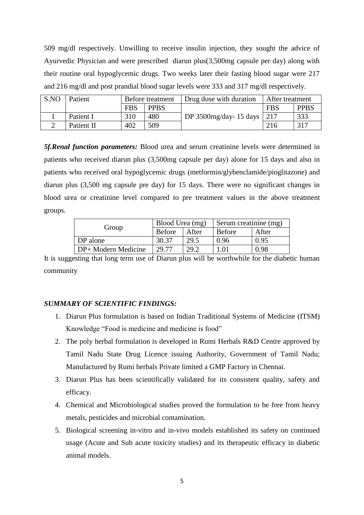509 mg/dl respectively. Unwilling to receive insulin injection, they sought the advice of Ayurvedic Physician and were prescribed diarun plus(3,500mg capsule per day) along with their routine oral hypoglycemic drugs. Two weeks later their fasting blood sugar were 217 and 216 mg/dl and post prandial blood sugar levels were 333 and 317 mg/dl respectively.

| S.NO | Patient    | Before treatment |             | Drug dose with duration    | After treatment |             |
|------|------------|------------------|-------------|----------------------------|-----------------|-------------|
|      |            | <b>FBS</b>       | <b>PPBS</b> |                            | <b>FBS</b>      | <b>PPBS</b> |
|      | Patient I  | 310              | 480         | DP 3500mg/day- 15 days 217 |                 | 333         |
|      | Patient II | 402              | 509         |                            | 216             | 317         |

*5f.Renal function parameters:* Blood urea and serum creatinine levels were determined in patients who received diarun plus (3,500mg capsule per day) alone for 15 days and also in patients who received oral hypoglycemic drugs (metformin/glybenclamide/pioglitazone) and diarun plus (3,500 mg capsule pre day) for 15 days. There were no significant changes in blood urea or creatinine level compared to pre treatment values in the above treatment groups.

| Group               | Blood Urea (mg) |       | Serum creatinine $(mg)$ |       |  |
|---------------------|-----------------|-------|-------------------------|-------|--|
|                     | <b>Before</b>   | After | Before                  | After |  |
| DP alone            | 30.37           | 29.5  | 0.96                    | 0.95  |  |
| DP+ Modern Medicine | 29.77           | 29.2  | 1.01                    | 0.98  |  |

It is suggesting that long term use of Diarun plus will be worthwhile for the diabetic human community

## *SUMMARY OF SCIENTIFIC FINDINGS:*

- 1. Diarun Plus formulation is based on Indian Traditional Systems of Medicine (ITSM) Knowledge "Food is medicine and medicine is food"
- 2. The poly herbal formulation is developed in Rumi Herbals R&D Centre approved by Tamil Nadu State Drug Licence issuing Authority, Government of Tamil Nadu; Manufactured by Rumi herbals Private limited a GMP Factory in Chennai.
- 3. Diarun Plus has been scientifically validated for its consistent quality, safety and efficacy.
- 4. Chemical and Microbiological studies proved the formulation to be free from heavy metals, pesticides and microbial contamination.
- 5. Biological screening in-vitro and in-vivo models established its safety on continued usage (Acute and Sub acute toxicity studies) and its therapeutic efficacy in diabetic animal models.